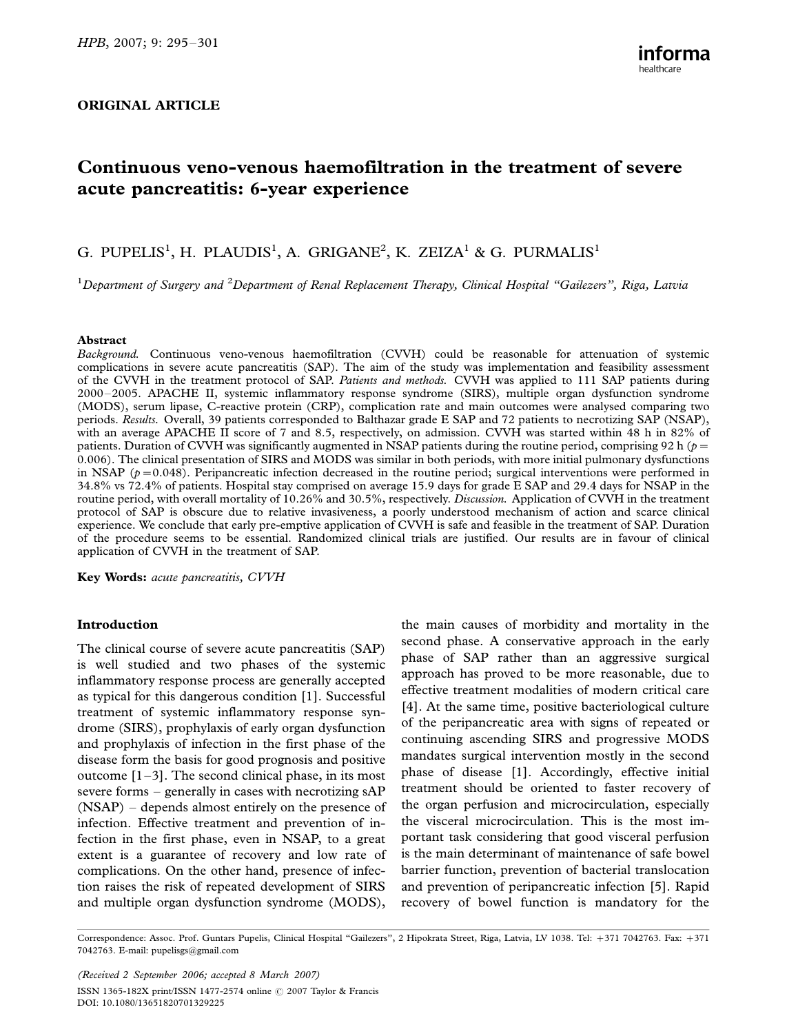## ORIGINAL ARTICLE

# Continuous veno-venous haemofiltration in the treatment of severe acute pancreatitis: 6-year experience

# G. PUPELIS<sup>1</sup>, H. PLAUDIS<sup>1</sup>, A. GRIGANE<sup>2</sup>, K. ZEIZA<sup>1</sup> & G. PURMALIS<sup>1</sup>

 $^1$ Department of Surgery and  $^2$ Department of Renal Replacement Therapy, Clinical Hospital "Gailezers", Riga, Latvia

#### Abstract

Background. Continuous veno-venous haemofiltration (CVVH) could be reasonable for attenuation of systemic complications in severe acute pancreatitis (SAP). The aim of the study was implementation and feasibility assessment of the CVVH in the treatment protocol of SAP. Patients and methods. CVVH was applied to 111 SAP patients during 2000-2005. APACHE II, systemic inflammatory response syndrome (SIRS), multiple organ dysfunction syndrome (MODS), serum lipase, C-reactive protein (CRP), complication rate and main outcomes were analysed comparing two periods. Results. Overall, 39 patients corresponded to Balthazar grade E SAP and 72 patients to necrotizing SAP (NSAP), with an average APACHE II score of 7 and 8.5, respectively, on admission. CVVH was started within 48 h in 82% of patients. Duration of CVVH was significantly augmented in NSAP patients during the routine period, comprising 92 h ( $p=$ 0.006). The clinical presentation of SIRS and MODS was similar in both periods, with more initial pulmonary dysfunctions in NSAP ( $p = 0.048$ ). Peripancreatic infection decreased in the routine period; surgical interventions were performed in 34.8% vs 72.4% of patients. Hospital stay comprised on average 15.9 days for grade E SAP and 29.4 days for NSAP in the routine period, with overall mortality of 10.26% and 30.5%, respectively. Discussion. Application of CVVH in the treatment protocol of SAP is obscure due to relative invasiveness, a poorly understood mechanism of action and scarce clinical experience. We conclude that early pre-emptive application of CVVH is safe and feasible in the treatment of SAP. Duration of the procedure seems to be essential. Randomized clinical trials are justified. Our results are in favour of clinical application of CVVH in the treatment of SAP.

Key Words: acute pancreatitis, CVVH

## Introduction

The clinical course of severe acute pancreatitis (SAP) is well studied and two phases of the systemic inflammatory response process are generally accepted as typical for this dangerous condition [1]. Successful treatment of systemic inflammatory response syndrome (SIRS), prophylaxis of early organ dysfunction and prophylaxis of infection in the first phase of the disease form the basis for good prognosis and positive outcome  $[1-3]$ . The second clinical phase, in its most severe forms  $-$  generally in cases with necrotizing sAP  $(NSAP)$  – depends almost entirely on the presence of infection. Effective treatment and prevention of infection in the first phase, even in NSAP, to a great extent is a guarantee of recovery and low rate of complications. On the other hand, presence of infection raises the risk of repeated development of SIRS and multiple organ dysfunction syndrome (MODS), the main causes of morbidity and mortality in the second phase. A conservative approach in the early phase of SAP rather than an aggressive surgical approach has proved to be more reasonable, due to effective treatment modalities of modern critical care [4]. At the same time, positive bacteriological culture of the peripancreatic area with signs of repeated or continuing ascending SIRS and progressive MODS mandates surgical intervention mostly in the second phase of disease [1]. Accordingly, effective initial treatment should be oriented to faster recovery of the organ perfusion and microcirculation, especially the visceral microcirculation. This is the most important task considering that good visceral perfusion is the main determinant of maintenance of safe bowel barrier function, prevention of bacterial translocation and prevention of peripancreatic infection [5]. Rapid recovery of bowel function is mandatory for the

Correspondence: Assoc. Prof. Guntars Pupelis, Clinical Hospital "Gailezers", 2 Hipokrata Street, Riga, Latvia, LV 1038. Tel: +371 7042763. Fax: +371 7042763. E-mail: pupelisgs@gmail.com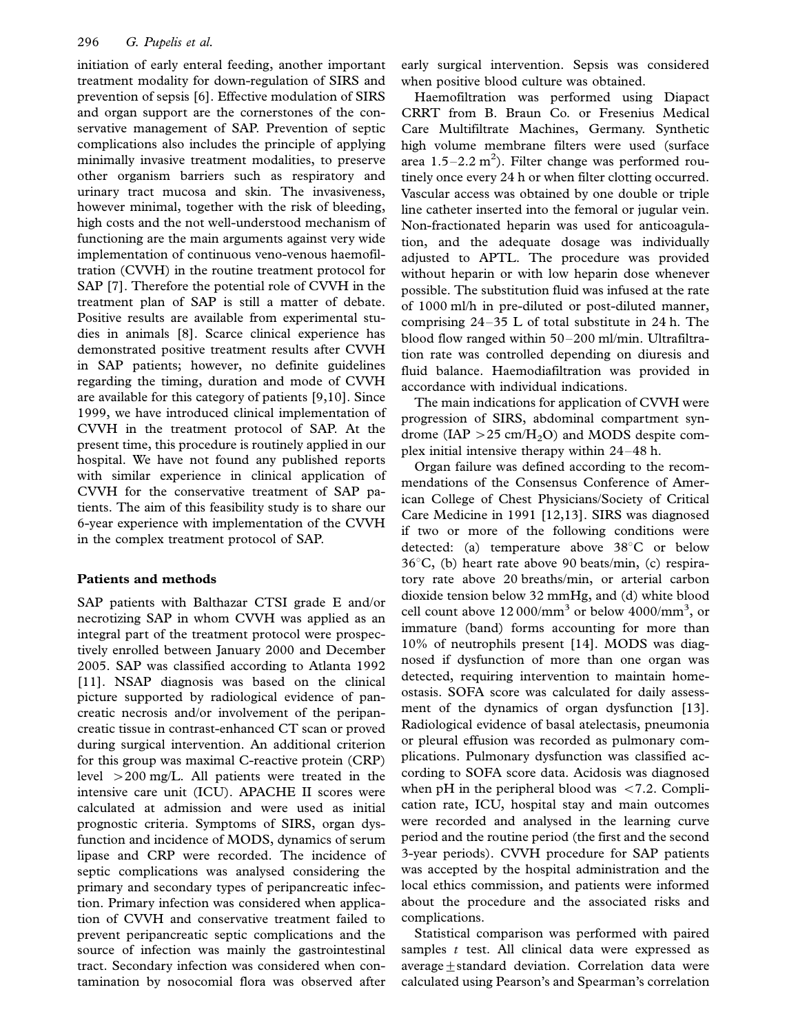initiation of early enteral feeding, another important treatment modality for down-regulation of SIRS and prevention of sepsis [6]. Effective modulation of SIRS and organ support are the cornerstones of the conservative management of SAP. Prevention of septic complications also includes the principle of applying minimally invasive treatment modalities, to preserve other organism barriers such as respiratory and urinary tract mucosa and skin. The invasiveness, however minimal, together with the risk of bleeding, high costs and the not well-understood mechanism of functioning are the main arguments against very wide implementation of continuous veno-venous haemofiltration (CVVH) in the routine treatment protocol for SAP [7]. Therefore the potential role of CVVH in the treatment plan of SAP is still a matter of debate. Positive results are available from experimental studies in animals [8]. Scarce clinical experience has demonstrated positive treatment results after CVVH in SAP patients; however, no definite guidelines regarding the timing, duration and mode of CVVH are available for this category of patients [9,10]. Since 1999, we have introduced clinical implementation of CVVH in the treatment protocol of SAP. At the present time, this procedure is routinely applied in our hospital. We have not found any published reports with similar experience in clinical application of CVVH for the conservative treatment of SAP patients. The aim of this feasibility study is to share our 6-year experience with implementation of the CVVH in the complex treatment protocol of SAP.

# Patients and methods

SAP patients with Balthazar CTSI grade E and/or necrotizing SAP in whom CVVH was applied as an integral part of the treatment protocol were prospectively enrolled between January 2000 and December 2005. SAP was classified according to Atlanta 1992 [11]. NSAP diagnosis was based on the clinical picture supported by radiological evidence of pancreatic necrosis and/or involvement of the peripancreatic tissue in contrast-enhanced CT scan or proved during surgical intervention. An additional criterion for this group was maximal C-reactive protein (CRP) level 200 mg/L. All patients were treated in the intensive care unit (ICU). APACHE II scores were calculated at admission and were used as initial prognostic criteria. Symptoms of SIRS, organ dysfunction and incidence of MODS, dynamics of serum lipase and CRP were recorded. The incidence of septic complications was analysed considering the primary and secondary types of peripancreatic infection. Primary infection was considered when application of CVVH and conservative treatment failed to prevent peripancreatic septic complications and the source of infection was mainly the gastrointestinal tract. Secondary infection was considered when contamination by nosocomial flora was observed after early surgical intervention. Sepsis was considered when positive blood culture was obtained.

Haemofiltration was performed using Diapact CRRT from B. Braun Co. or Fresenius Medical Care Multifiltrate Machines, Germany. Synthetic high volume membrane filters were used (surface area  $1.5-2.2$  m<sup>2</sup>). Filter change was performed routinely once every 24 h or when filter clotting occurred. Vascular access was obtained by one double or triple line catheter inserted into the femoral or jugular vein. Non-fractionated heparin was used for anticoagulation, and the adequate dosage was individually adjusted to APTL. The procedure was provided without heparin or with low heparin dose whenever possible. The substitution fluid was infused at the rate of 1000 ml/h in pre-diluted or post-diluted manner, comprising  $24-35$  L of total substitute in 24 h. The blood flow ranged within 50–200 ml/min. Ultrafiltration rate was controlled depending on diuresis and fluid balance. Haemodiafiltration was provided in accordance with individual indications.

The main indications for application of CVVH were progression of SIRS, abdominal compartment syndrome (IAP  $>$  25 cm/H<sub>2</sub>O) and MODS despite complex initial intensive therapy within  $24-48$  h.

Organ failure was defined according to the recommendations of the Consensus Conference of American College of Chest Physicians/Society of Critical Care Medicine in 1991 [12,13]. SIRS was diagnosed if two or more of the following conditions were detected: (a) temperature above  $38^{\circ}$ C or below  $36^{\circ}$ C, (b) heart rate above 90 beats/min, (c) respiratory rate above 20 breaths/min, or arterial carbon dioxide tension below 32 mmHg, and (d) white blood cell count above  $12000/\text{mm}^3$  or below  $4000/\text{mm}^3$ , or immature (band) forms accounting for more than 10% of neutrophils present [14]. MODS was diagnosed if dysfunction of more than one organ was detected, requiring intervention to maintain homeostasis. SOFA score was calculated for daily assessment of the dynamics of organ dysfunction [13]. Radiological evidence of basal atelectasis, pneumonia or pleural effusion was recorded as pulmonary complications. Pulmonary dysfunction was classified according to SOFA score data. Acidosis was diagnosed when pH in the peripheral blood was  $\langle 7.2$ . Complication rate, ICU, hospital stay and main outcomes were recorded and analysed in the learning curve period and the routine period (the first and the second 3-year periods). CVVH procedure for SAP patients was accepted by the hospital administration and the local ethics commission, and patients were informed about the procedure and the associated risks and complications.

Statistical comparison was performed with paired samples  $t$  test. All clinical data were expressed as average+standard deviation. Correlation data were calculated using Pearson's and Spearman's correlation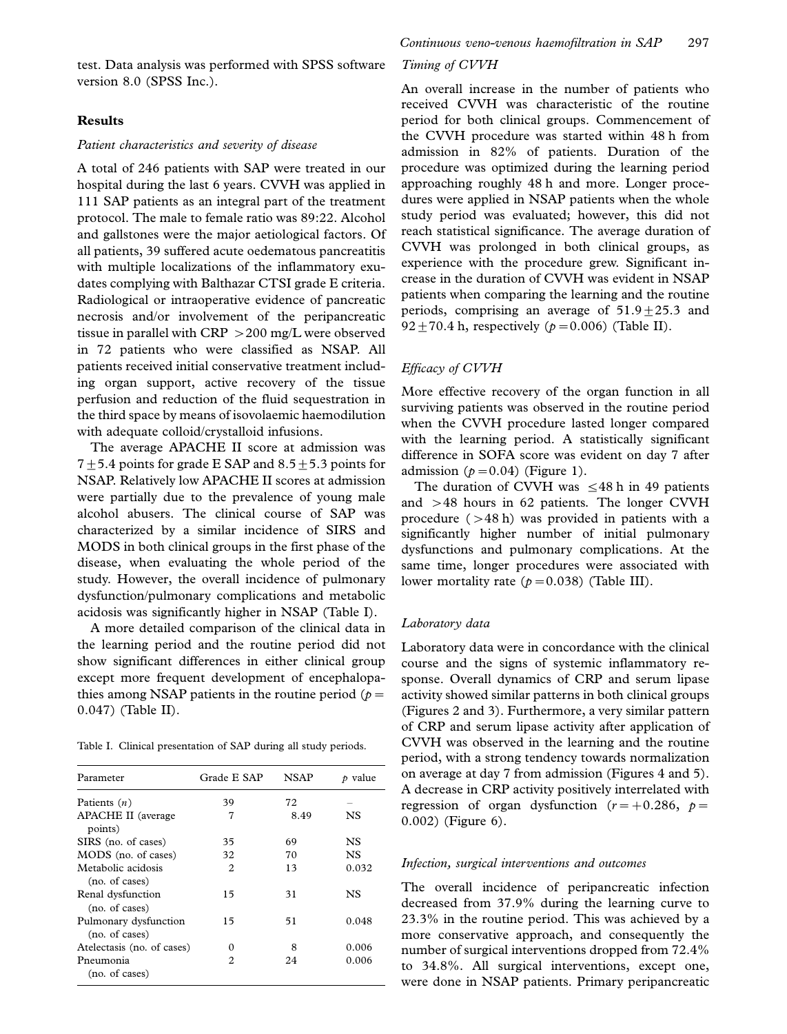test. Data analysis was performed with SPSS software version 8.0 (SPSS Inc.).

## Results

### Patient characteristics and severity of disease

A total of 246 patients with SAP were treated in our hospital during the last 6 years. CVVH was applied in 111 SAP patients as an integral part of the treatment protocol. The male to female ratio was 89:22. Alcohol and gallstones were the major aetiological factors. Of all patients, 39 suffered acute oedematous pancreatitis with multiple localizations of the inflammatory exudates complying with Balthazar CTSI grade E criteria. Radiological or intraoperative evidence of pancreatic necrosis and/or involvement of the peripancreatic tissue in parallel with CRP  $>$  200 mg/L were observed in 72 patients who were classified as NSAP. All patients received initial conservative treatment including organ support, active recovery of the tissue perfusion and reduction of the fluid sequestration in the third space by means of isovolaemic haemodilution with adequate colloid/crystalloid infusions.

The average APACHE II score at admission was 7 $\pm$ 5.4 points for grade E SAP and 8.5 $\pm$ 5.3 points for NSAP. Relatively low APACHE II scores at admission were partially due to the prevalence of young male alcohol abusers. The clinical course of SAP was characterized by a similar incidence of SIRS and MODS in both clinical groups in the first phase of the disease, when evaluating the whole period of the study. However, the overall incidence of pulmonary dysfunction/pulmonary complications and metabolic acidosis was significantly higher in NSAP (Table I).

A more detailed comparison of the clinical data in the learning period and the routine period did not show significant differences in either clinical group except more frequent development of encephalopathies among NSAP patients in the routine period ( $p=$ 0.047) (Table II).

Table I. Clinical presentation of SAP during all study periods.

| Parameter                               | Grade E SAP | <b>NSAP</b> | $\rho$ value |
|-----------------------------------------|-------------|-------------|--------------|
| Patients $(n)$                          | 39          | 72          |              |
| <b>APACHE II</b> (average<br>points)    | 7           | 8.49        | NS           |
| SIRS (no. of cases)                     | 35          | 69          | NS           |
| MODS (no. of cases)                     | 32          | 70          | NS.          |
| Metabolic acidosis<br>(no. of cases)    | 2           | 13          | 0.032        |
| Renal dysfunction<br>(no. of cases)     | 15          | 31          | NS           |
| Pulmonary dysfunction<br>(no. of cases) | 15          | 51          | 0.048        |
| Atelectasis (no. of cases)              | 0           | 8           | 0.006        |
| Pneumonia<br>(no. of cases)             | 2           | 24          | 0.006        |

## Timing of CVVH

An overall increase in the number of patients who received CVVH was characteristic of the routine period for both clinical groups. Commencement of the CVVH procedure was started within 48 h from admission in 82% of patients. Duration of the procedure was optimized during the learning period approaching roughly 48 h and more. Longer procedures were applied in NSAP patients when the whole study period was evaluated; however, this did not reach statistical significance. The average duration of CVVH was prolonged in both clinical groups, as experience with the procedure grew. Significant increase in the duration of CVVH was evident in NSAP patients when comparing the learning and the routine periods, comprising an average of  $51.9 \pm 25.3$  and  $92 \pm 70.4$  h, respectively ( $p = 0.006$ ) (Table II).

#### Efficacy of CVVH

More effective recovery of the organ function in all surviving patients was observed in the routine period when the CVVH procedure lasted longer compared with the learning period. A statistically significant difference in SOFA score was evident on day 7 after admission  $(p=0.04)$  (Figure 1).

The duration of CVVH was  $\leq$  48 h in 49 patients and  $>48$  hours in 62 patients. The longer CVVH procedure  $(>48$  h) was provided in patients with a significantly higher number of initial pulmonary dysfunctions and pulmonary complications. At the same time, longer procedures were associated with lower mortality rate  $(p=0.038)$  (Table III).

#### Laboratory data

Laboratory data were in concordance with the clinical course and the signs of systemic inflammatory response. Overall dynamics of CRP and serum lipase activity showed similar patterns in both clinical groups (Figures 2 and 3). Furthermore, a very similar pattern of CRP and serum lipase activity after application of CVVH was observed in the learning and the routine period, with a strong tendency towards normalization on average at day 7 from admission (Figures 4 and 5). A decrease in CRP activity positively interrelated with regression of organ dysfunction  $(r=+0.286, p=$ 0.002) (Figure 6).

#### Infection, surgical interventions and outcomes

The overall incidence of peripancreatic infection decreased from 37.9% during the learning curve to 23.3% in the routine period. This was achieved by a more conservative approach, and consequently the number of surgical interventions dropped from 72.4% to 34.8%. All surgical interventions, except one, were done in NSAP patients. Primary peripancreatic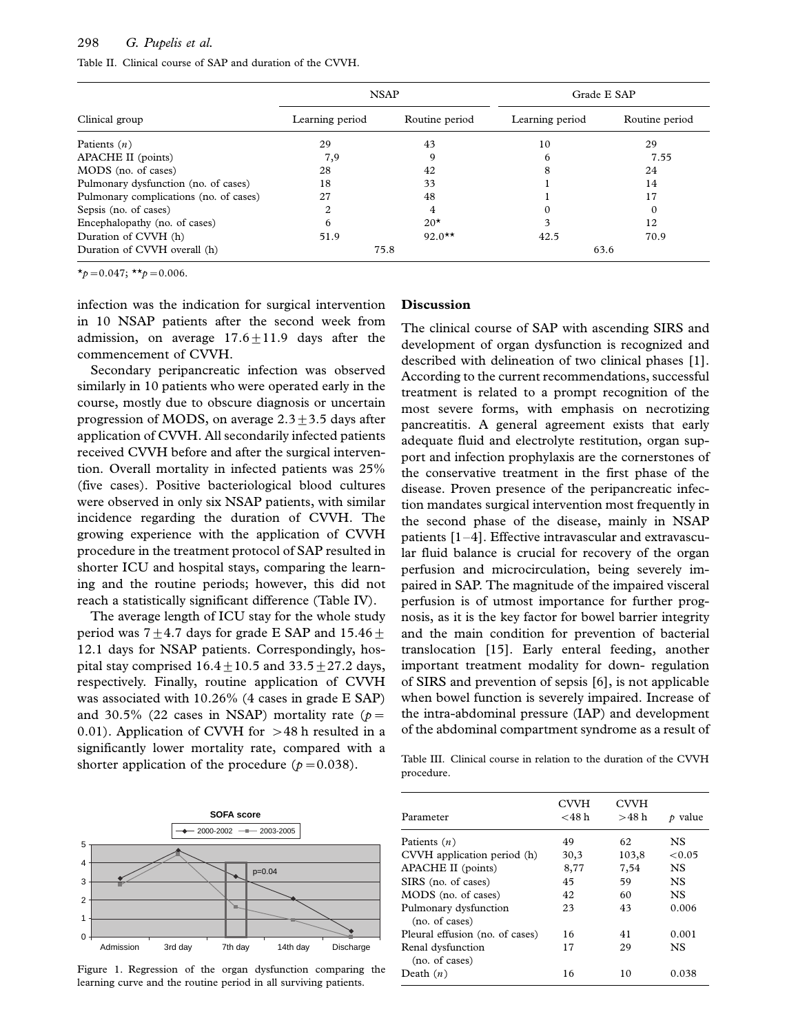# 298 G. Pupelis et al.

| Table II. Clinical course of SAP and duration of the CVVH. |
|------------------------------------------------------------|
|------------------------------------------------------------|

|                                        | <b>NSAP</b>     |                | Grade E SAP     |                |  |
|----------------------------------------|-----------------|----------------|-----------------|----------------|--|
| Clinical group                         | Learning period | Routine period | Learning period | Routine period |  |
| Patients $(n)$                         | 29              | 43             | 10              | 29             |  |
| APACHE II (points)                     | 7,9             | 9              | 6               | 7.55           |  |
| MODS (no. of cases)                    | 28              | 42             |                 | 24             |  |
| Pulmonary dysfunction (no. of cases)   | 18              | 33             |                 | 14             |  |
| Pulmonary complications (no. of cases) | 27              | 48             |                 | 17             |  |
| Sepsis (no. of cases)                  | 2               | 4              |                 | $\Omega$       |  |
| Encephalopathy (no. of cases)          | 6               | $20*$          |                 | 12             |  |
| Duration of CVVH (h)                   | 51.9            | $92.0**$       | 42.5            | 70.9           |  |
| Duration of CVVH overall (h)           | 75.8            |                | 63.6            |                |  |

 $\star_p = 0.047; \star_{p} = 0.006.$ 

infection was the indication for surgical intervention in 10 NSAP patients after the second week from admission, on average  $17.6 + 11.9$  days after the commencement of CVVH.

Secondary peripancreatic infection was observed similarly in 10 patients who were operated early in the course, mostly due to obscure diagnosis or uncertain progression of MODS, on average  $2.3 \pm 3.5$  days after application of CVVH. All secondarily infected patients received CVVH before and after the surgical intervention. Overall mortality in infected patients was 25% (five cases). Positive bacteriological blood cultures were observed in only six NSAP patients, with similar incidence regarding the duration of CVVH. The growing experience with the application of CVVH procedure in the treatment protocol of SAP resulted in shorter ICU and hospital stays, comparing the learning and the routine periods; however, this did not reach a statistically significant difference (Table IV).

The average length of ICU stay for the whole study period was  $7+4.7$  days for grade E SAP and  $15.46+$ 12.1 days for NSAP patients. Correspondingly, hospital stay comprised  $16.4+10.5$  and  $33.5+27.2$  days, respectively. Finally, routine application of CVVH was associated with 10.26% (4 cases in grade E SAP) and 30.5% (22 cases in NSAP) mortality rate ( $p=$ 0.01). Application of CVVH for  $>48$  h resulted in a significantly lower mortality rate, compared with a shorter application of the procedure ( $p = 0.038$ ).



Figure 1. Regression of the organ dysfunction comparing the learning curve and the routine period in all surviving patients.

#### Discussion

The clinical course of SAP with ascending SIRS and development of organ dysfunction is recognized and described with delineation of two clinical phases [1]. According to the current recommendations, successful treatment is related to a prompt recognition of the most severe forms, with emphasis on necrotizing pancreatitis. A general agreement exists that early adequate fluid and electrolyte restitution, organ support and infection prophylaxis are the cornerstones of the conservative treatment in the first phase of the disease. Proven presence of the peripancreatic infection mandates surgical intervention most frequently in the second phase of the disease, mainly in NSAP patients  $[1-4]$ . Effective intravascular and extravascular fluid balance is crucial for recovery of the organ perfusion and microcirculation, being severely impaired in SAP. The magnitude of the impaired visceral perfusion is of utmost importance for further prognosis, as it is the key factor for bowel barrier integrity and the main condition for prevention of bacterial translocation [15]. Early enteral feeding, another important treatment modality for down- regulation of SIRS and prevention of sepsis [6], is not applicable when bowel function is severely impaired. Increase of the intra-abdominal pressure (IAP) and development of the abdominal compartment syndrome as a result of

Table III. Clinical course in relation to the duration of the CVVH procedure.

| Parameter                               | <b>CVVH</b><br>$<$ 48 h | <b>CVVH</b><br>>48h | $\rho$ value |
|-----------------------------------------|-------------------------|---------------------|--------------|
| Patients $(n)$                          | 49                      | 62                  | <b>NS</b>    |
| CVVH application period (h)             | 30,3                    | 103,8               | < 0.05       |
| APACHE II (points)                      | 8,77                    | 7,54                | <b>NS</b>    |
| SIRS (no. of cases)                     | 45                      | 59                  | <b>NS</b>    |
| MODS (no. of cases)                     | 42                      | 60                  | NS.          |
| Pulmonary dysfunction<br>(no. of cases) | 23                      | 43                  | 0.006        |
| Pleural effusion (no. of cases)         | 16                      | 41                  | 0.001        |
| Renal dysfunction<br>(no. of cases)     | 17                      | 29                  | NS.          |
| Death $(n)$                             | 16                      | 10                  | 0.038        |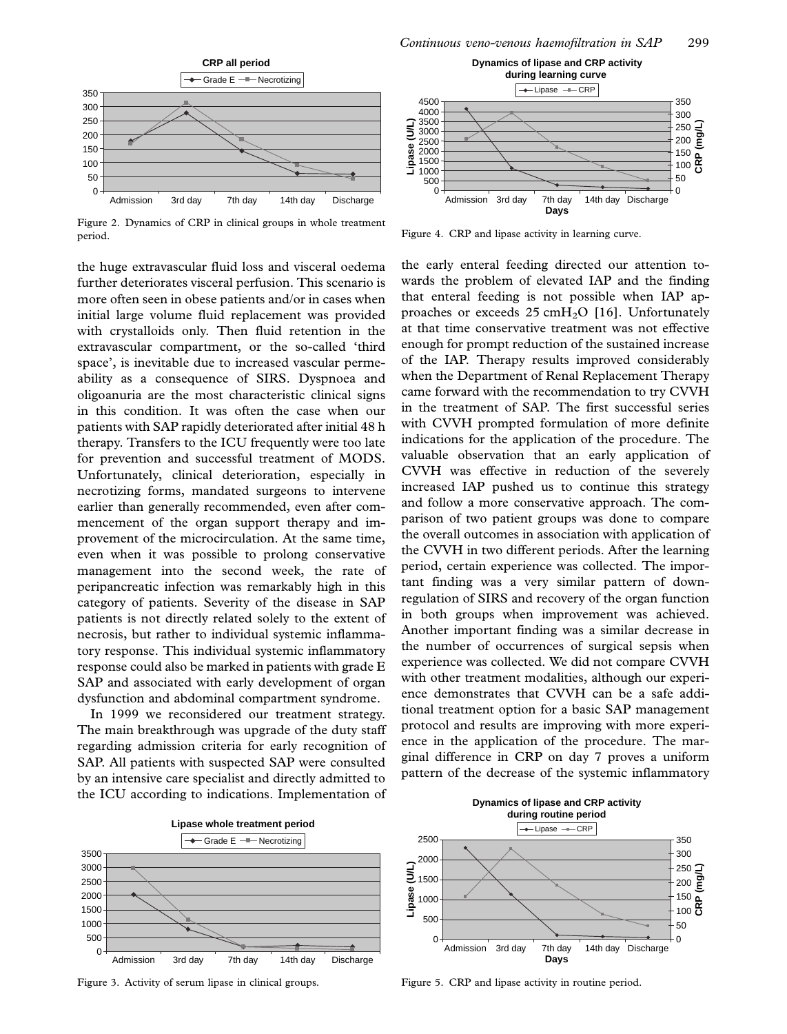

Figure 2. Dynamics of CRP in clinical groups in whole treatment period.

the huge extravascular fluid loss and visceral oedema further deteriorates visceral perfusion. This scenario is more often seen in obese patients and/or in cases when initial large volume fluid replacement was provided with crystalloids only. Then fluid retention in the extravascular compartment, or the so-called 'third space', is inevitable due to increased vascular permeability as a consequence of SIRS. Dyspnoea and oligoanuria are the most characteristic clinical signs in this condition. It was often the case when our patients with SAP rapidly deteriorated after initial 48 h therapy. Transfers to the ICU frequently were too late for prevention and successful treatment of MODS. Unfortunately, clinical deterioration, especially in necrotizing forms, mandated surgeons to intervene earlier than generally recommended, even after commencement of the organ support therapy and improvement of the microcirculation. At the same time, even when it was possible to prolong conservative management into the second week, the rate of peripancreatic infection was remarkably high in this category of patients. Severity of the disease in SAP patients is not directly related solely to the extent of necrosis, but rather to individual systemic inflammatory response. This individual systemic inflammatory response could also be marked in patients with grade E SAP and associated with early development of organ dysfunction and abdominal compartment syndrome.

In 1999 we reconsidered our treatment strategy. The main breakthrough was upgrade of the duty staff regarding admission criteria for early recognition of SAP. All patients with suspected SAP were consulted by an intensive care specialist and directly admitted to the ICU according to indications. Implementation of



Figure 4. CRP and lipase activity in learning curve.

the early enteral feeding directed our attention towards the problem of elevated IAP and the finding that enteral feeding is not possible when IAP approaches or exceeds  $25 \text{ cm}H_2O$  [16]. Unfortunately at that time conservative treatment was not effective enough for prompt reduction of the sustained increase of the IAP. Therapy results improved considerably when the Department of Renal Replacement Therapy came forward with the recommendation to try CVVH in the treatment of SAP. The first successful series with CVVH prompted formulation of more definite indications for the application of the procedure. The valuable observation that an early application of CVVH was effective in reduction of the severely increased IAP pushed us to continue this strategy and follow a more conservative approach. The comparison of two patient groups was done to compare the overall outcomes in association with application of the CVVH in two different periods. After the learning period, certain experience was collected. The important finding was a very similar pattern of downregulation of SIRS and recovery of the organ function in both groups when improvement was achieved. Another important finding was a similar decrease in the number of occurrences of surgical sepsis when experience was collected. We did not compare CVVH with other treatment modalities, although our experience demonstrates that CVVH can be a safe additional treatment option for a basic SAP management protocol and results are improving with more experience in the application of the procedure. The marginal difference in CRP on day 7 proves a uniform pattern of the decrease of the systemic inflammatory



Figure 3. Activity of serum lipase in clinical groups.



Figure 5. CRP and lipase activity in routine period.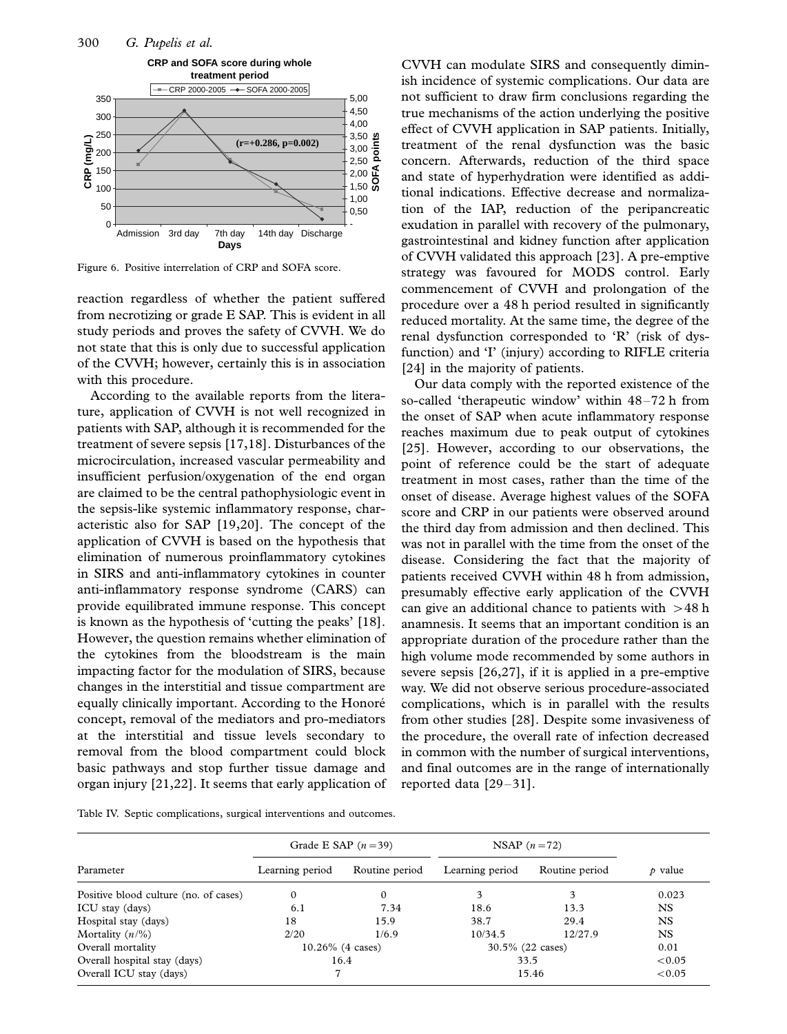

Figure 6. Positive interrelation of CRP and SOFA score.

reaction regardless of whether the patient suffered from necrotizing or grade E SAP. This is evident in all study periods and proves the safety of CVVH. We do not state that this is only due to successful application of the CVVH; however, certainly this is in association with this procedure.

According to the available reports from the literature, application of CVVH is not well recognized in patients with SAP, although it is recommended for the treatment of severe sepsis [17,18]. Disturbances of the microcirculation, increased vascular permeability and insufficient perfusion/oxygenation of the end organ are claimed to be the central pathophysiologic event in the sepsis-like systemic inflammatory response, characteristic also for SAP [19,20]. The concept of the application of CVVH is based on the hypothesis that elimination of numerous proinflammatory cytokines in SIRS and anti-inflammatory cytokines in counter anti-inflammatory response syndrome (CARS) can provide equilibrated immune response. This concept is known as the hypothesis of 'cutting the peaks' [18]. However, the question remains whether elimination of the cytokines from the bloodstream is the main impacting factor for the modulation of SIRS, because changes in the interstitial and tissue compartment are equally clinically important. According to the Honoré concept, removal of the mediators and pro-mediators at the interstitial and tissue levels secondary to removal from the blood compartment could block basic pathways and stop further tissue damage and organ injury [21,22]. It seems that early application of CVVH can modulate SIRS and consequently diminish incidence of systemic complications. Our data are not sufficient to draw firm conclusions regarding the true mechanisms of the action underlying the positive effect of CVVH application in SAP patients. Initially, treatment of the renal dysfunction was the basic concern. Afterwards, reduction of the third space and state of hyperhydration were identified as additional indications. Effective decrease and normalization of the IAP, reduction of the peripancreatic exudation in parallel with recovery of the pulmonary, gastrointestinal and kidney function after application of CVVH validated this approach [23]. A pre-emptive strategy was favoured for MODS control. Early commencement of CVVH and prolongation of the procedure over a 48 h period resulted in significantly reduced mortality. At the same time, the degree of the renal dysfunction corresponded to 'R' (risk of dysfunction) and 'I' (injury) according to RIFLE criteria [24] in the majority of patients.

Our data comply with the reported existence of the so-called 'therapeutic window' within 48-72 h from the onset of SAP when acute inflammatory response reaches maximum due to peak output of cytokines [25]. However, according to our observations, the point of reference could be the start of adequate treatment in most cases, rather than the time of the onset of disease. Average highest values of the SOFA score and CRP in our patients were observed around the third day from admission and then declined. This was not in parallel with the time from the onset of the disease. Considering the fact that the majority of patients received CVVH within 48 h from admission, presumably effective early application of the CVVH can give an additional chance to patients with  $>48$  h anamnesis. It seems that an important condition is an appropriate duration of the procedure rather than the high volume mode recommended by some authors in severe sepsis [26,27], if it is applied in a pre-emptive way. We did not observe serious procedure-associated complications, which is in parallel with the results from other studies [28]. Despite some invasiveness of the procedure, the overall rate of infection decreased in common with the number of surgical interventions, and final outcomes are in the range of internationally reported data [29-31].

Table IV. Septic complications, surgical interventions and outcomes.

|                                       | Grade E SAP $(n=39)$ |                     | NSAP $(n=72)$    |                |              |
|---------------------------------------|----------------------|---------------------|------------------|----------------|--------------|
| Parameter                             | Learning period      | Routine period      | Learning period  | Routine period | $\rho$ value |
| Positive blood culture (no. of cases) | $\Omega$             | $\mathbf{0}$        | 3                | 3              | 0.023        |
| ICU stay (days)                       | 6.1                  | 7.34                | 18.6             | 13.3           | NS           |
| Hospital stay (days)                  | 18                   | 15.9                | 38.7             | 29.4           | <b>NS</b>    |
| Mortality $(n/\%)$                    | 2/20                 | 1/6.9               | 10/34.5          | 12/27.9        | NS           |
| Overall mortality                     |                      | $10.26\%$ (4 cases) | 30.5% (22 cases) |                | 0.01         |
| Overall hospital stay (days)          |                      | 16.4                | 33.5             |                | < 0.05       |
| Overall ICU stay (days)               |                      |                     |                  | 15.46          | < 0.05       |